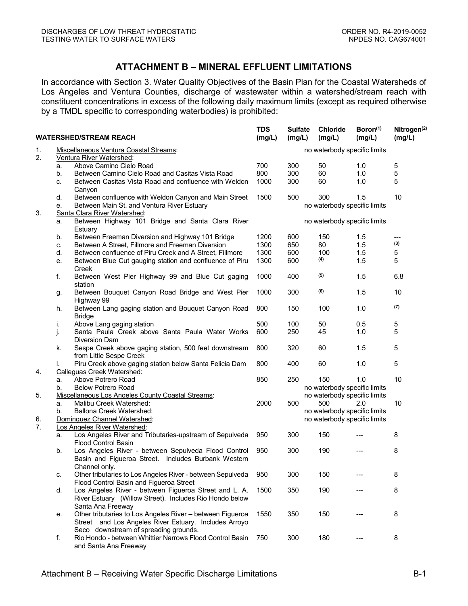## **ATTACHMENT B – MINERAL EFFLUENT LIMITATIONS**

In accordance with Section 3. Water Quality Objectives of the Basin Plan for the Coastal Watersheds of Los Angeles and Ventura Counties, discharge of wastewater within a watershed/stream reach with constituent concentrations in excess of the following daily maximum limits (except as required otherwise by a TMDL specific to corresponding waterbodies) is prohibited:

| <b>WATERSHED/STREAM REACH</b> |                                        |                                                                                                                  | <b>TDS</b><br>(mg/L)         | <b>Sulfate</b><br>(mg/L)     | Chloride<br>(mg/L)           | Boron <sup>(1)</sup><br>(mg/L) | Nitrogen <sup>(2)</sup><br>(mg/L) |  |
|-------------------------------|----------------------------------------|------------------------------------------------------------------------------------------------------------------|------------------------------|------------------------------|------------------------------|--------------------------------|-----------------------------------|--|
| 1.                            | Miscellaneous Ventura Coastal Streams: |                                                                                                                  |                              | no waterbody specific limits |                              |                                |                                   |  |
| 2.                            |                                        | Ventura River Watershed:                                                                                         |                              |                              |                              |                                |                                   |  |
|                               | a.                                     | Above Camino Cielo Road                                                                                          | 700                          | 300                          | 50                           | 1.0                            | 5                                 |  |
|                               | b.                                     | Between Camino Cielo Road and Casitas Vista Road                                                                 | 800                          | 300                          | 60                           | 1.0                            | 5                                 |  |
|                               | c.                                     | Between Casitas Vista Road and confluence with Weldon                                                            | 1000                         | 300                          | 60                           | 1.0                            | 5                                 |  |
|                               |                                        | Canyon                                                                                                           |                              |                              |                              |                                |                                   |  |
|                               | d.                                     | Between confluence with Weldon Canyon and Main Street                                                            | 1500                         | 500                          | 300                          | 1.5                            | 10                                |  |
|                               | e.                                     | Between Main St. and Ventura River Estuary                                                                       |                              |                              | no waterbody specific limits |                                |                                   |  |
| 3.                            |                                        | Santa Clara River Watershed:                                                                                     |                              |                              |                              |                                |                                   |  |
|                               | a.                                     | Between Highway 101 Bridge and Santa Clara River<br>Estuary                                                      | no waterbody specific limits |                              |                              |                                |                                   |  |
|                               | b.                                     | Between Freeman Diversion and Highway 101 Bridge                                                                 | 1200                         | 600                          | 150                          | 1.5                            | ---                               |  |
|                               | c.                                     | Between A Street, Fillmore and Freeman Diversion                                                                 | 1300                         | 650                          | 80                           | 1.5                            | (3)                               |  |
|                               | d.                                     | Between confluence of Piru Creek and A Street, Fillmore                                                          | 1300                         | 600                          | 100                          | 1.5                            | 5                                 |  |
|                               | е.                                     | Between Blue Cut gauging station and confluence of Piru<br>Creek                                                 | 1300                         | 600                          | (4)                          | 1.5                            | 5                                 |  |
|                               | f.                                     | Between West Pier Highway 99 and Blue Cut gaging<br>station                                                      | 1000                         | 400                          | (5)                          | 1.5                            | 6.8                               |  |
|                               | g.                                     | Between Bouquet Canyon Road Bridge and West Pier<br>Highway 99                                                   | 1000                         | 300                          | (6)                          | 1.5                            | 10                                |  |
|                               | h.                                     | Between Lang gaging station and Bouquet Canyon Road<br><b>Bridge</b>                                             | 800                          | 150                          | 100                          | 1.0                            | (7)                               |  |
|                               | İ.                                     | Above Lang gaging station                                                                                        | 500                          | 100                          | 50                           | 0.5                            | 5                                 |  |
|                               |                                        | Santa Paula Creek above Santa Paula Water Works                                                                  | 600                          | 250                          | 45                           | 1.0                            | 5                                 |  |
| 4.                            | j.                                     | Diversion Dam                                                                                                    |                              |                              |                              |                                |                                   |  |
|                               | k.                                     | Sespe Creek above gaging station, 500 feet downstream<br>from Little Sespe Creek                                 | 800                          | 320                          | 60                           | 1.5                            | 5                                 |  |
|                               | I.                                     | Piru Creek above gaging station below Santa Felicia Dam<br>Calleguas Creek Watershed:                            | 800                          | 400                          | 60                           | 1.0                            | 5                                 |  |
|                               | a.                                     | Above Potrero Road                                                                                               | 850                          | 250                          | 150                          | 1.0                            | 10                                |  |
|                               | b.                                     | <b>Below Potrero Road</b>                                                                                        |                              |                              | no waterbody specific limits |                                |                                   |  |
| 5.                            |                                        | Miscellaneous Los Angeles County Coastal Streams:                                                                |                              |                              | no waterbody specific limits |                                |                                   |  |
|                               | a.                                     | Malibu Creek Watershed:                                                                                          | 2000                         | 500                          | 500                          | 2.0                            | 10                                |  |
|                               | b.                                     | Ballona Creek Watershed:                                                                                         |                              |                              | no waterbody specific limits |                                |                                   |  |
| 6.                            |                                        | Dominguez Channel Watershed:                                                                                     |                              |                              | no waterbody specific limits |                                |                                   |  |
| 7.                            |                                        | Los Angeles River Watershed:                                                                                     |                              |                              |                              |                                |                                   |  |
|                               | а.                                     | Los Angeles River and Tributaries-upstream of Sepulveda                                                          | 950                          | 300                          | 150                          |                                | 8                                 |  |
|                               |                                        | <b>Flood Control Basin</b>                                                                                       |                              |                              |                              |                                |                                   |  |
|                               | b.                                     | Los Angeles River - between Sepulveda Flood Control                                                              | 950                          | 300                          | 190                          |                                | 8                                 |  |
|                               |                                        | Basin and Figueroa Street. Includes Burbank Western                                                              |                              |                              |                              |                                |                                   |  |
|                               |                                        | Channel only.                                                                                                    |                              |                              |                              |                                |                                   |  |
|                               | c.                                     | Other tributaries to Los Angeles River - between Sepulveda                                                       | 950                          | 300                          | 150                          |                                | 8                                 |  |
|                               |                                        | Flood Control Basin and Figueroa Street                                                                          |                              |                              |                              |                                |                                   |  |
|                               | d.                                     | Los Angeles River - between Figueroa Street and L. A.<br>River Estuary (Willow Street). Includes Rio Hondo below | 1500                         | 350                          | 190                          |                                | 8                                 |  |
|                               |                                        | Santa Ana Freeway                                                                                                |                              |                              |                              |                                |                                   |  |
|                               | е.                                     | Other tributaries to Los Angeles River - between Figueroa                                                        | 1550                         | 350                          | 150                          |                                | 8                                 |  |
|                               |                                        | Street and Los Angeles River Estuary. Includes Arroyo                                                            |                              |                              |                              |                                |                                   |  |
|                               |                                        | Seco downstream of spreading grounds.                                                                            |                              |                              |                              |                                |                                   |  |
|                               | f.                                     | Rio Hondo - between Whittier Narrows Flood Control Basin<br>and Santa Ana Freeway                                | 750                          | 300                          | 180                          |                                | 8                                 |  |